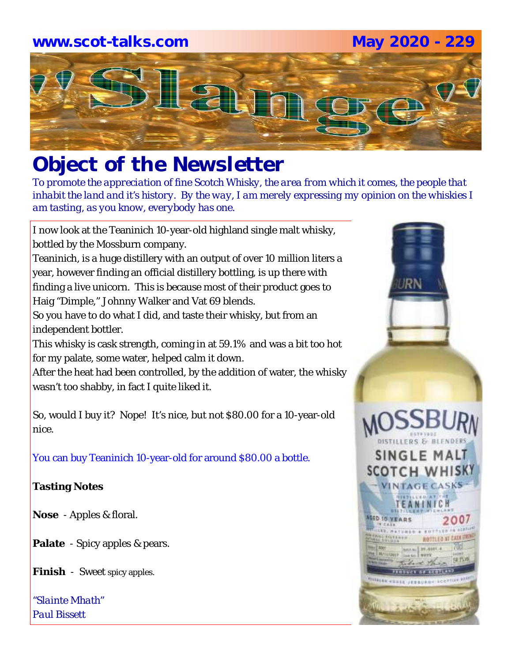# **www.scot-talks.com May 2020 - 229**La)

## *Object of the Newsletter*

*To promote the appreciation of fine Scotch Whisky, the area from which it comes, the people that inhabit the land and it's history. By the way, I am merely expressing my opinion on the whiskies I am tasting, as you know, everybody has one.* 

I now look at the Teaninich 10-year-old highland single malt whisky, bottled by the Mossburn company.

Teaninich, is a huge distillery with an output of over 10 million liters a year, however finding an official distillery bottling, is up there with finding a live unicorn. This is because most of their product goes to Haig "Dimple," Johnny Walker and Vat 69 blends.

So you have to do what I did, and taste their whisky, but from an independent bottler.

This whisky is cask strength, coming in at 59.1% and was a bit too hot for my palate, some water, helped calm it down.

After the heat had been controlled, by the addition of water, the whisky wasn't too shabby, in fact I quite liked it.

So, would I buy it? Nope! It's nice, but not \$80.00 for a 10-year-old nice.

You can buy Teaninich 10-year-old for around \$80.00 a bottle.

## **Tasting Notes**

**Nose** - Apples & floral.

**Palate** - Spicy apples & pears.

**Finish** - Sweet spicy apples.

*"Slainte Mhath" Paul Bissett*

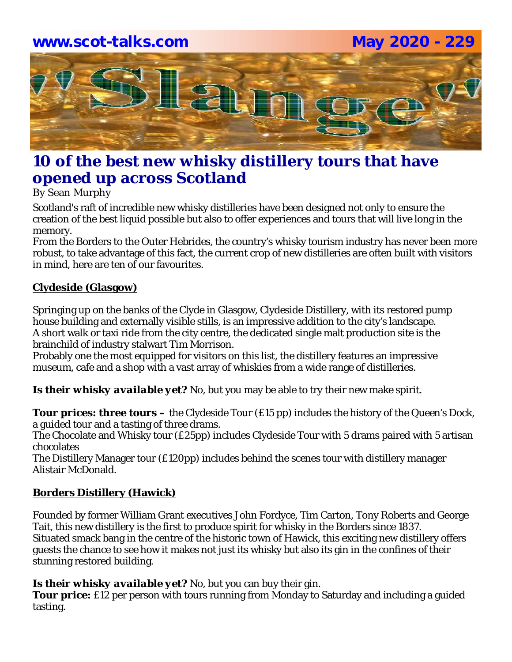

## **10 of the best new whisky distillery tours that have opened up across Scotland**

By Sean Murphy

Scotland's raft of incredible new whisky distilleries have been designed not only to ensure the creation of the best liquid possible but also to offer experiences and tours that will live long in the memory.

From the Borders to the Outer Hebrides, the country's whisky tourism industry has never been more robust, to take advantage of this fact, the current crop of new distilleries are often built with visitors in mind, here are ten of our favourites.

#### **Clydeside (Glasgow)**

Springing up on the banks of the Clyde in Glasgow, Clydeside Distillery, with its restored pump house building and externally visible stills, is an impressive addition to the city's landscape. A short walk or taxi ride from the city centre, the dedicated single malt production site is the brainchild of industry stalwart Tim Morrison.

Probably one the most equipped for visitors on this list, the distillery features an impressive museum, cafe and a shop with a vast array of whiskies from a wide range of distilleries.

*Is their whisky available yet?* No, but you may be able to try their new make spirit.

*Tour prices: three tours –* the Clydeside Tour (£15 pp) includes the history of the Queen's Dock, a guided tour and a tasting of three drams.

The Chocolate and Whisky tour (£25pp) includes Clydeside Tour with 5 drams paired with 5 artisan chocolates

The Distillery Manager tour (£120pp) includes behind the scenes tour with distillery manager Alistair McDonald.

## **Borders Distillery (Hawick)**

Founded by former William Grant executives John Fordyce, Tim Carton, Tony Roberts and George Tait, this new distillery is the first to produce spirit for whisky in the Borders since 1837. Situated smack bang in the centre of the historic town of Hawick, this exciting new distillery offers guests the chance to see how it makes not just its whisky but also its gin in the confines of their stunning restored building.

*Is their whisky available yet?* No, but you can buy their gin.

**Tour price:** £12 per person with tours running from Monday to Saturday and including a quided tasting.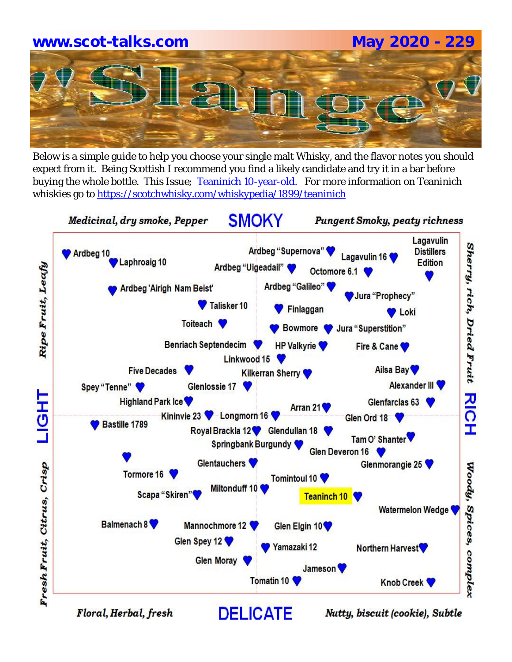

Below is a simple guide to help you choose your single malt Whisky, and the flavor notes you should expect from it. Being Scottish I recommend you find a likely candidate and try it in a bar before buying the whole bottle. This Issue; Teaninich 10-year-old. For more information on Teaninich whiskies go to https://scotchwhisky.com/whiskypedia/1899/teaninich



Floral, Herbal, fresh

Nutty, biscuit (cookie), Subtle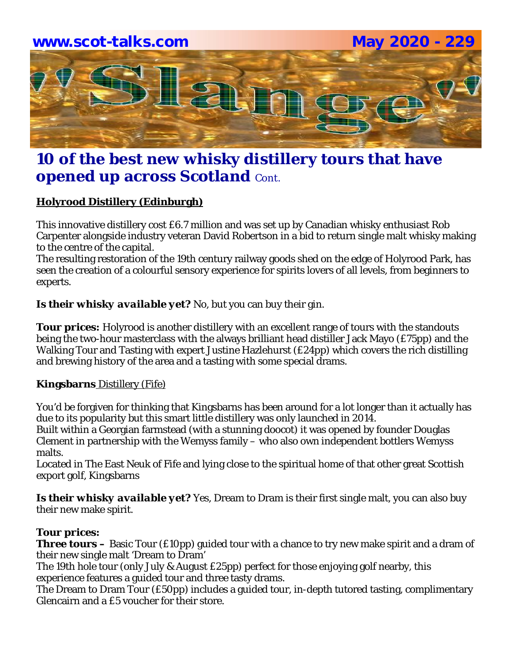

## **10 of the best new whisky distillery tours that have opened up across Scotland Cont.**

## **Holyrood Distillery (Edinburgh)**

This innovative distillery cost £6.7 million and was set up by Canadian whisky enthusiast Rob Carpenter alongside industry veteran David Robertson in a bid to return single malt whisky making to the centre of the capital.

The resulting restoration of the 19th century railway goods shed on the edge of Holyrood Park, has seen the creation of a colourful sensory experience for spirits lovers of all levels, from beginners to experts.

#### *Is their whisky available yet?* No, but you can buy their gin.

*Tour prices:* Holyrood is another distillery with an excellent range of tours with the standouts being the two-hour masterclass with the always brilliant head distiller Jack Mayo (£75pp) and the Walking Tour and Tasting with expert Justine Hazlehurst (£24pp) which covers the rich distilling and brewing history of the area and a tasting with some special drams.

#### **Kingsbarns** Distillery (Fife)

You'd be forgiven for thinking that Kingsbarns has been around for a lot longer than it actually has due to its popularity but this smart little distillery was only launched in 2014. Built within a Georgian farmstead (with a stunning doocot) it was opened by founder Douglas Clement in partnership with the Wemyss family – who also own independent bottlers Wemyss malts.

Located in The East Neuk of Fife and lying close to the spiritual home of that other great Scottish export golf, Kingsbarns

**Is their whisky available yet?** Yes, Dream to Dram is their first single malt, you can also buy their new make spirit.

## *Tour prices:*

**Three tours –** Basic Tour (£10pp) guided tour with a chance to try new make spirit and a dram of their new single malt 'Dream to Dram'

The 19th hole tour (only July & August £25pp) perfect for those enjoying golf nearby, this experience features a guided tour and three tasty drams.

The Dream to Dram Tour (£50pp) includes a guided tour, in-depth tutored tasting, complimentary Glencairn and a £5 voucher for their store.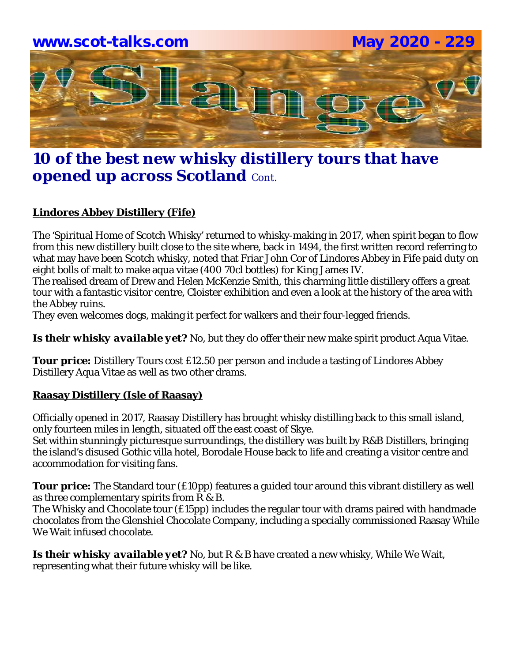

## **10 of the best new whisky distillery tours that have opened up across Scotland** Cont.

## **Lindores Abbey Distillery (Fife)**

The 'Spiritual Home of Scotch Whisky' returned to whisky-making in 2017, when spirit began to flow from this new distillery built close to the site where, back in 1494, the first written record referring to what may have been Scotch whisky, noted that Friar John Cor of Lindores Abbey in Fife paid duty on eight bolls of malt to make aqua vitae (400 70cl bottles) for King James IV.

The realised dream of Drew and Helen McKenzie Smith, this charming little distillery offers a great tour with a fantastic visitor centre, Cloister exhibition and even a look at the history of the area with the Abbey ruins.

They even welcomes dogs, making it perfect for walkers and their four-legged friends.

*Is their whisky available yet?* No, but they do offer their new make spirit product Aqua Vitae.

**Tour price:** Distillery Tours cost £12.50 per person and include a tasting of Lindores Abbey Distillery Aqua Vitae as well as two other drams.

## **Raasay Distillery (Isle of Raasay)**

Officially opened in 2017, Raasay Distillery has brought whisky distilling back to this small island, only fourteen miles in length, situated off the east coast of Skye.

Set within stunningly picturesque surroundings, the distillery was built by R&B Distillers, bringing the island's disused Gothic villa hotel, Borodale House back to life and creating a visitor centre and accommodation for visiting fans.

**Tour price:** The Standard tour (£10pp) features a guided tour around this vibrant distillery as well as three complementary spirits from R & B.

The Whisky and Chocolate tour (£15pp) includes the regular tour with drams paired with handmade chocolates from the Glenshiel Chocolate Company, including a specially commissioned Raasay While We Wait infused chocolate.

*Is their whisky available yet?* No, but R & B have created a new whisky, While We Wait, representing what their future whisky will be like.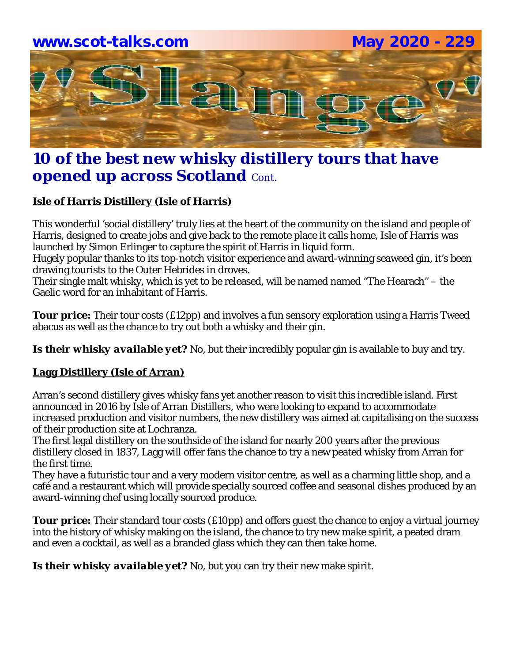

## **10 of the best new whisky distillery tours that have opened up across Scotland** Cont.

## **Isle of Harris Distillery (Isle of Harris)**

This wonderful 'social distillery' truly lies at the heart of the community on the island and people of Harris, designed to create jobs and give back to the remote place it calls home, Isle of Harris was launched by Simon Erlinger to capture the spirit of Harris in liquid form.

Hugely popular thanks to its top-notch visitor experience and award-winning seaweed gin, it's been drawing tourists to the Outer Hebrides in droves.

Their single malt whisky, which is yet to be released, will be named named "The Hearach" – the Gaelic word for an inhabitant of Harris.

**Tour price:** Their tour costs (£12pp) and involves a fun sensory exploration using a Harris Tweed abacus as well as the chance to try out both a whisky and their gin.

*Is their whisky available yet?* No, but their incredibly popular gin is available to buy and try.

## **Lagg Distillery (Isle of Arran)**

Arran's second distillery gives whisky fans yet another reason to visit this incredible island. First announced in 2016 by Isle of Arran Distillers, who were looking to expand to accommodate increased production and visitor numbers, the new distillery was aimed at capitalising on the success of their production site at Lochranza.

The first legal distillery on the southside of the island for nearly 200 years after the previous distillery closed in 1837, Lagg will offer fans the chance to try a new peated whisky from Arran for the first time.

They have a futuristic tour and a very modern visitor centre, as well as a charming little shop, and a café and a restaurant which will provide specially sourced coffee and seasonal dishes produced by an award-winning chef using locally sourced produce.

**Tour price:** Their standard tour costs (£10pp) and offers quest the chance to enjoy a virtual journey into the history of whisky making on the island, the chance to try new make spirit, a peated dram and even a cocktail, as well as a branded glass which they can then take home.

*Is their whisky available yet?* No, but you can try their new make spirit.